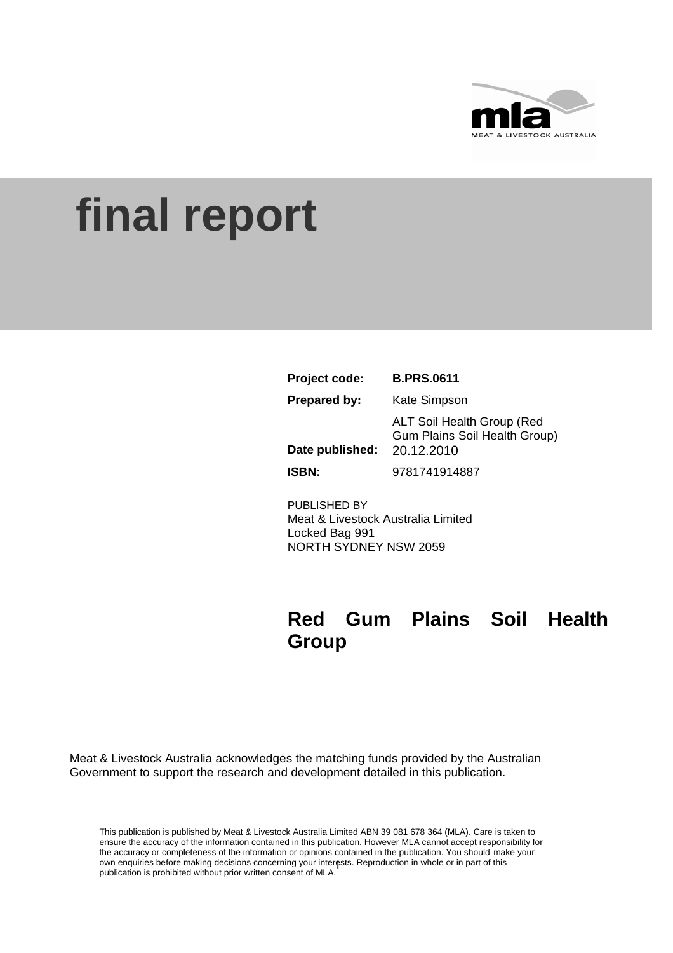

# **final report**

| Project code:       | <b>B.PRS.0611</b>                                                                       |
|---------------------|-----------------------------------------------------------------------------------------|
| <b>Prepared by:</b> | Kate Simpson                                                                            |
| Date published:     | <b>ALT Soil Health Group (Red</b><br><b>Gum Plains Soil Health Group)</b><br>20.12.2010 |
| <b>ISBN:</b>        | 9781741914887                                                                           |

PUBLISHED BY Meat & Livestock Australia Limited Locked Bag 991 NORTH SYDNEY NSW 2059

## **Red Gum Plains Soil Health Group**

Meat & Livestock Australia acknowledges the matching funds provided by the Australian Government to support the research and development detailed in this publication.

own enquiries before making decisions concerning your interests. Reproduction in whole or in part of this multipation is problement of this multipation is problement of this This publication is published by Meat & Livestock Australia Limited ABN 39 081 678 364 (MLA). Care is taken to ensure the accuracy of the information contained in this publication. However MLA cannot accept responsibility for the accuracy or completeness of the information or opinions contained in the publication. You should make your publication is prohibited without prior written consent of MLA.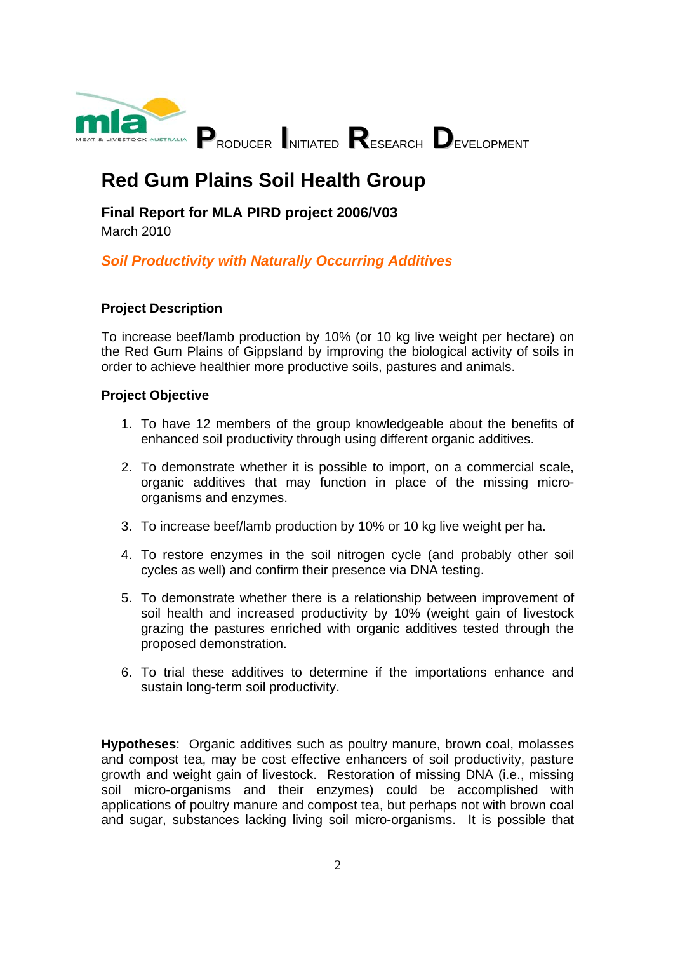

## **Red Gum Plains Soil Health Group**

**Final Report for MLA PIRD project 2006/V03** 

March 2010

### *Soil Productivity with Naturally Occurring Additives*

#### **Project Description**

To increase beef/lamb production by 10% (or 10 kg live weight per hectare) on the Red Gum Plains of Gippsland by improving the biological activity of soils in order to achieve healthier more productive soils, pastures and animals.

#### **Project Objective**

- 1. To have 12 members of the group knowledgeable about the benefits of enhanced soil productivity through using different organic additives.
- 2. To demonstrate whether it is possible to import, on a commercial scale, organic additives that may function in place of the missing microorganisms and enzymes.
- 3. To increase beef/lamb production by 10% or 10 kg live weight per ha.
- 4. To restore enzymes in the soil nitrogen cycle (and probably other soil cycles as well) and confirm their presence via DNA testing.
- 5. To demonstrate whether there is a relationship between improvement of soil health and increased productivity by 10% (weight gain of livestock grazing the pastures enriched with organic additives tested through the proposed demonstration.
- 6. To trial these additives to determine if the importations enhance and sustain long-term soil productivity.

**Hypotheses**: Organic additives such as poultry manure, brown coal, molasses and compost tea, may be cost effective enhancers of soil productivity, pasture growth and weight gain of livestock. Restoration of missing DNA (i.e., missing soil micro-organisms and their enzymes) could be accomplished with applications of poultry manure and compost tea, but perhaps not with brown coal and sugar, substances lacking living soil micro-organisms. It is possible that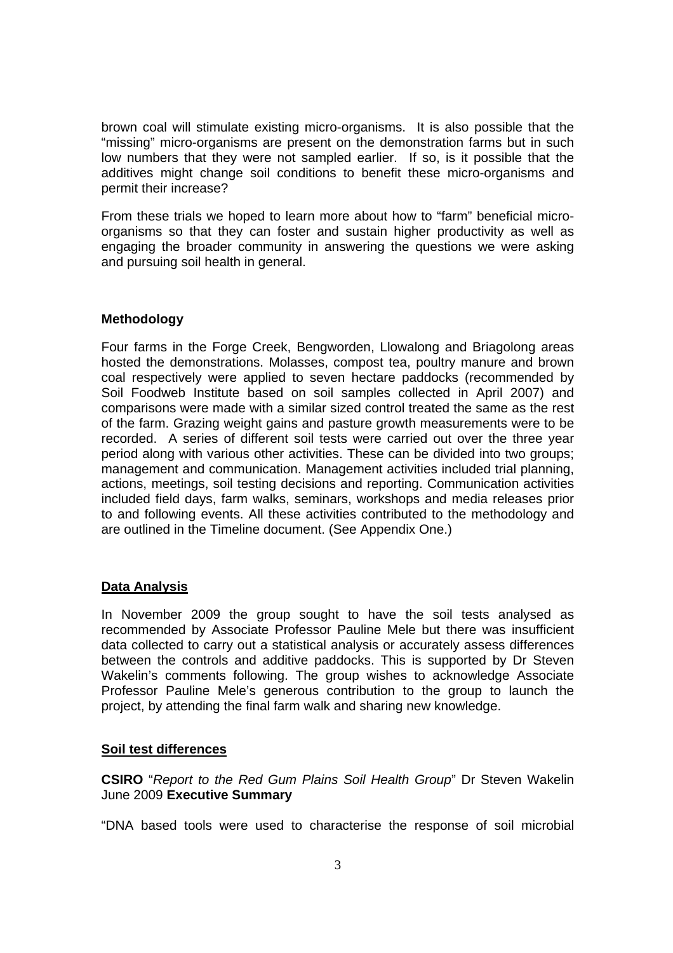brown coal will stimulate existing micro-organisms. It is also possible that the "missing" micro-organisms are present on the demonstration farms but in such low numbers that they were not sampled earlier. If so, is it possible that the additives might change soil conditions to benefit these micro-organisms and permit their increase?

From these trials we hoped to learn more about how to "farm" beneficial microorganisms so that they can foster and sustain higher productivity as well as engaging the broader community in answering the questions we were asking and pursuing soil health in general.

#### **Methodology**

Four farms in the Forge Creek, Bengworden, Llowalong and Briagolong areas hosted the demonstrations. Molasses, compost tea, poultry manure and brown coal respectively were applied to seven hectare paddocks (recommended by Soil Foodweb Institute based on soil samples collected in April 2007) and comparisons were made with a similar sized control treated the same as the rest of the farm. Grazing weight gains and pasture growth measurements were to be recorded. A series of different soil tests were carried out over the three year period along with various other activities. These can be divided into two groups; management and communication. Management activities included trial planning, actions, meetings, soil testing decisions and reporting. Communication activities included field days, farm walks, seminars, workshops and media releases prior to and following events. All these activities contributed to the methodology and are outlined in the Timeline document. (See Appendix One.)

#### **Data Analysis**

In November 2009 the group sought to have the soil tests analysed as recommended by Associate Professor Pauline Mele but there was insufficient data collected to carry out a statistical analysis or accurately assess differences between the controls and additive paddocks. This is supported by Dr Steven Wakelin's comments following. The group wishes to acknowledge Associate Professor Pauline Mele's generous contribution to the group to launch the project, by attending the final farm walk and sharing new knowledge.

#### **Soil test differences**

**CSIRO** "*Report to the Red Gum Plains Soil Health Group*" Dr Steven Wakelin June 2009 **Executive Summary** 

"DNA based tools were used to characterise the response of soil microbial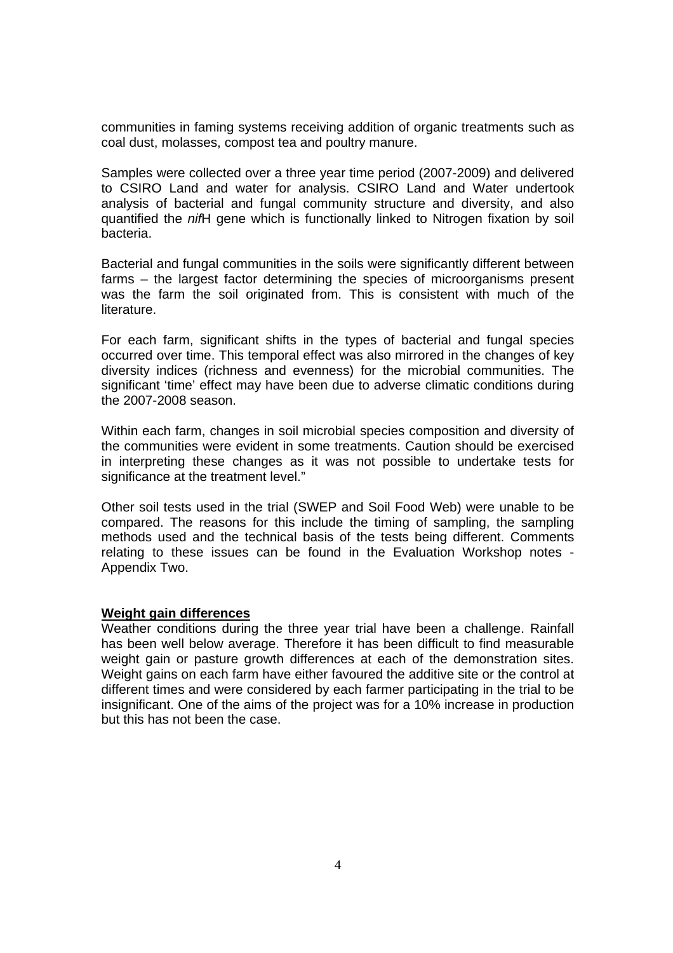communities in faming systems receiving addition of organic treatments such as coal dust, molasses, compost tea and poultry manure.

Samples were collected over a three year time period (2007-2009) and delivered to CSIRO Land and water for analysis. CSIRO Land and Water undertook analysis of bacterial and fungal community structure and diversity, and also quantified the *nif*H gene which is functionally linked to Nitrogen fixation by soil bacteria.

Bacterial and fungal communities in the soils were significantly different between farms – the largest factor determining the species of microorganisms present was the farm the soil originated from. This is consistent with much of the literature.

For each farm, significant shifts in the types of bacterial and fungal species occurred over time. This temporal effect was also mirrored in the changes of key diversity indices (richness and evenness) for the microbial communities. The significant 'time' effect may have been due to adverse climatic conditions during the 2007-2008 season.

Within each farm, changes in soil microbial species composition and diversity of the communities were evident in some treatments. Caution should be exercised in interpreting these changes as it was not possible to undertake tests for significance at the treatment level."

Other soil tests used in the trial (SWEP and Soil Food Web) were unable to be compared. The reasons for this include the timing of sampling, the sampling methods used and the technical basis of the tests being different. Comments relating to these issues can be found in the Evaluation Workshop notes - Appendix Two.

#### **Weight gain differences**

Weather conditions during the three year trial have been a challenge. Rainfall has been well below average. Therefore it has been difficult to find measurable weight gain or pasture growth differences at each of the demonstration sites. Weight gains on each farm have either favoured the additive site or the control at different times and were considered by each farmer participating in the trial to be insignificant. One of the aims of the project was for a 10% increase in production but this has not been the case.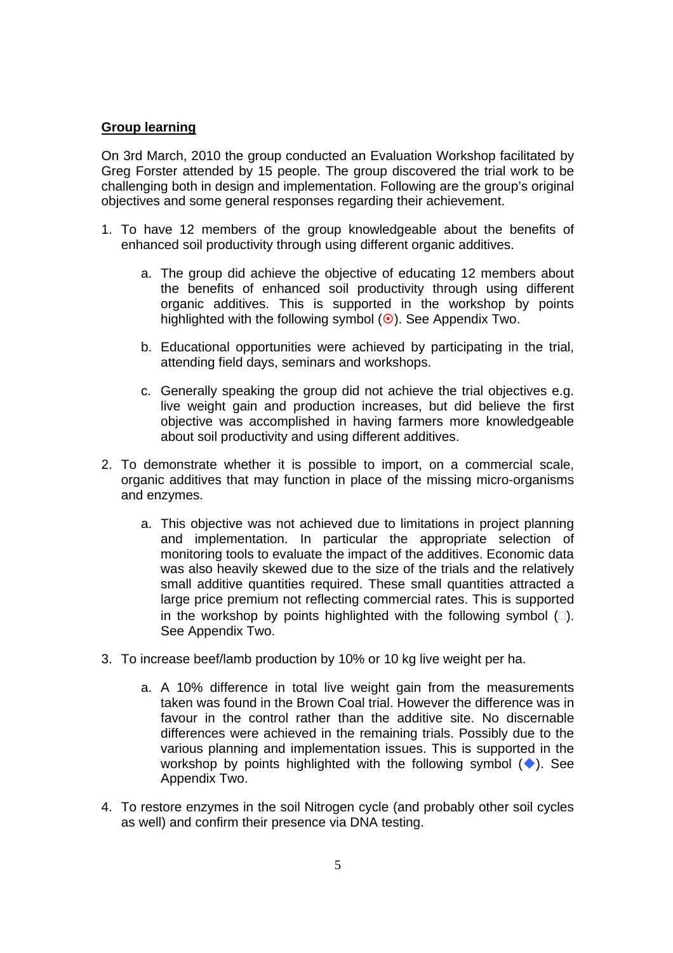#### **Group learning**

On 3rd March, 2010 the group conducted an Evaluation Workshop facilitated by Greg Forster attended by 15 people. The group discovered the trial work to be challenging both in design and implementation. Following are the group's original objectives and some general responses regarding their achievement.

- 1. To have 12 members of the group knowledgeable about the benefits of enhanced soil productivity through using different organic additives.
	- a. The group did achieve the objective of educating 12 members about the benefits of enhanced soil productivity through using different organic additives. This is supported in the workshop by points highlighted with the following symbol  $(\odot)$ . See Appendix Two.
	- b. Educational opportunities were achieved by participating in the trial, attending field days, seminars and workshops.
	- c. Generally speaking the group did not achieve the trial objectives e.g. live weight gain and production increases, but did believe the first objective was accomplished in having farmers more knowledgeable about soil productivity and using different additives.
- 2. To demonstrate whether it is possible to import, on a commercial scale, organic additives that may function in place of the missing micro-organisms and enzymes.
	- a. This objective was not achieved due to limitations in project planning and implementation. In particular the appropriate selection of monitoring tools to evaluate the impact of the additives. Economic data was also heavily skewed due to the size of the trials and the relatively small additive quantities required. These small quantities attracted a large price premium not reflecting commercial rates. This is supported in the workshop by points highlighted with the following symbol  $(\square)$ . See Appendix Two.
- 3. To increase beef/lamb production by 10% or 10 kg live weight per ha.
	- a. A 10% difference in total live weight gain from the measurements taken was found in the Brown Coal trial. However the difference was in favour in the control rather than the additive site. No discernable differences were achieved in the remaining trials. Possibly due to the various planning and implementation issues. This is supported in the workshop by points highlighted with the following symbol  $(\bullet)$ . See Appendix Two.
- 4. To restore enzymes in the soil Nitrogen cycle (and probably other soil cycles as well) and confirm their presence via DNA testing.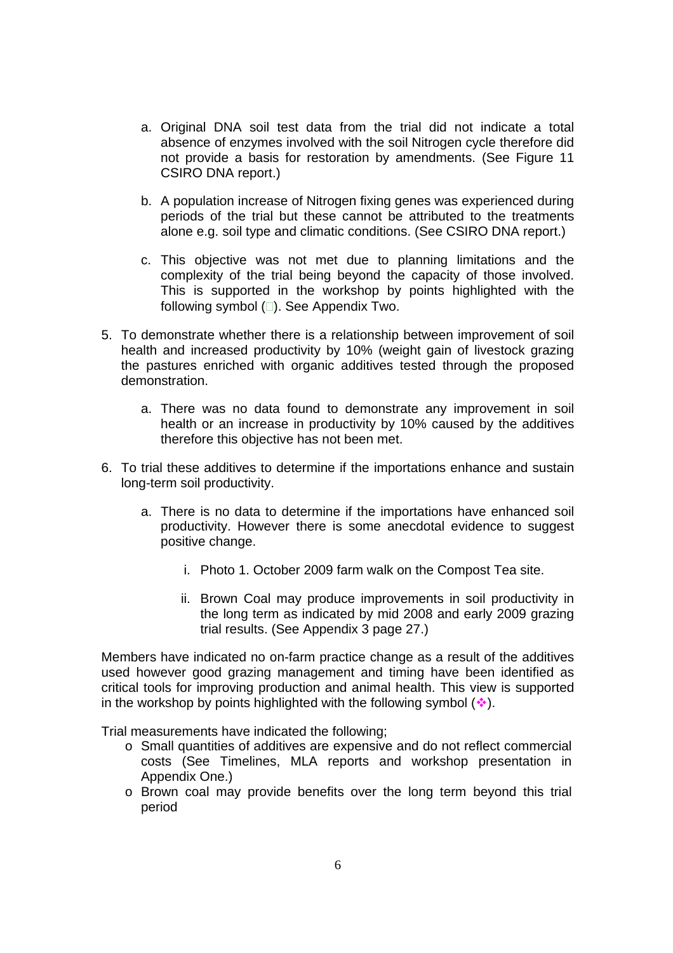- a. Original DNA soil test data from the trial did not indicate a total absence of enzymes involved with the soil Nitrogen cycle therefore did not provide a basis for restoration by amendments. (See Figure 11 CSIRO DNA report.)
- b. A population increase of Nitrogen fixing genes was experienced during periods of the trial but these cannot be attributed to the treatments alone e.g. soil type and climatic conditions. (See CSIRO DNA report.)
- c. This objective was not met due to planning limitations and the complexity of the trial being beyond the capacity of those involved. This is supported in the workshop by points highlighted with the following symbol  $(\square)$ . See Appendix Two.
- 5. To demonstrate whether there is a relationship between improvement of soil health and increased productivity by 10% (weight gain of livestock grazing the pastures enriched with organic additives tested through the proposed demonstration.
	- a. There was no data found to demonstrate any improvement in soil health or an increase in productivity by 10% caused by the additives therefore this objective has not been met.
- 6. To trial these additives to determine if the importations enhance and sustain long-term soil productivity.
	- a. There is no data to determine if the importations have enhanced soil productivity. However there is some anecdotal evidence to suggest positive change.
		- i. Photo 1. October 2009 farm walk on the Compost Tea site.
		- ii. Brown Coal may produce improvements in soil productivity in the long term as indicated by mid 2008 and early 2009 grazing trial results. (See Appendix 3 page 27.)

Members have indicated no on-farm practice change as a result of the additives used however good grazing management and timing have been identified as critical tools for improving production and animal health. This view is supported in the workshop by points highlighted with the following symbol  $(\cdot)$ .

Trial measurements have indicated the following;

- o Small quantities of additives are expensive and do not reflect commercial costs (See Timelines, MLA reports and workshop presentation in Appendix One.)
- o Brown coal may provide benefits over the long term beyond this trial period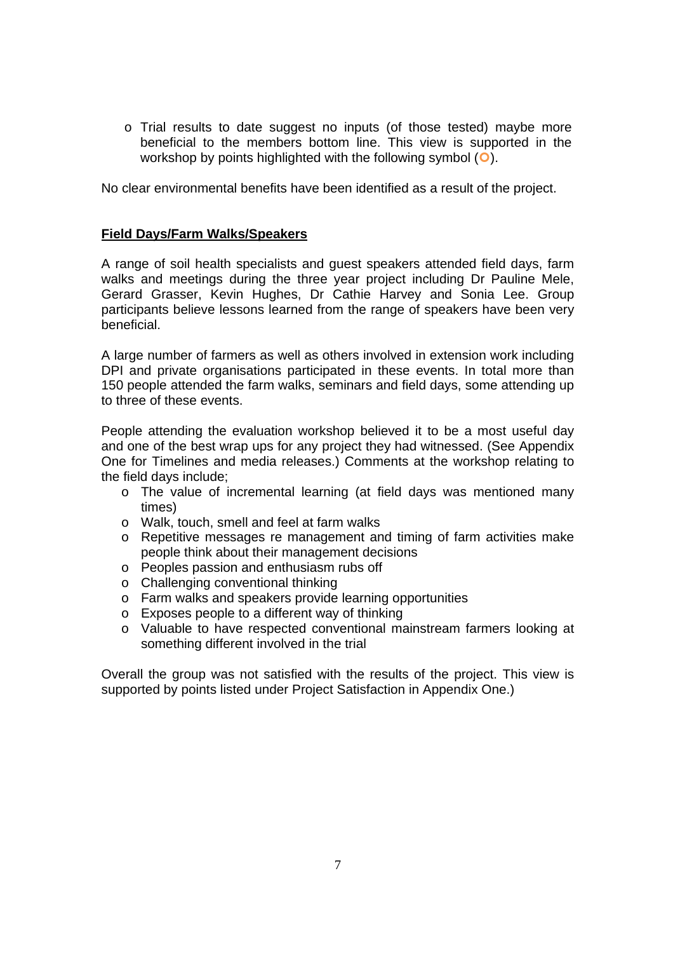o Trial results to date suggest no inputs (of those tested) maybe more beneficial to the members bottom line. This view is supported in the workshop by points highlighted with the following symbol  $\overline{(\bullet)}$ .

No clear environmental benefits have been identified as a result of the project.

#### **Field Days/Farm Walks/Speakers**

A range of soil health specialists and guest speakers attended field days, farm walks and meetings during the three year project including Dr Pauline Mele, Gerard Grasser, Kevin Hughes, Dr Cathie Harvey and Sonia Lee. Group participants believe lessons learned from the range of speakers have been very beneficial.

A large number of farmers as well as others involved in extension work including DPI and private organisations participated in these events. In total more than 150 people attended the farm walks, seminars and field days, some attending up to three of these events.

People attending the evaluation workshop believed it to be a most useful day and one of the best wrap ups for any project they had witnessed. (See Appendix One for Timelines and media releases.) Comments at the workshop relating to the field days include;

- $\circ$  The value of incremental learning (at field days was mentioned many times)
- o Walk, touch, smell and feel at farm walks
- o Repetitive messages re management and timing of farm activities make people think about their management decisions
- o Peoples passion and enthusiasm rubs off
- o Challenging conventional thinking
- o Farm walks and speakers provide learning opportunities
- o Exposes people to a different way of thinking
- o Valuable to have respected conventional mainstream farmers looking at something different involved in the trial

Overall the group was not satisfied with the results of the project. This view is supported by points listed under Project Satisfaction in Appendix One.)